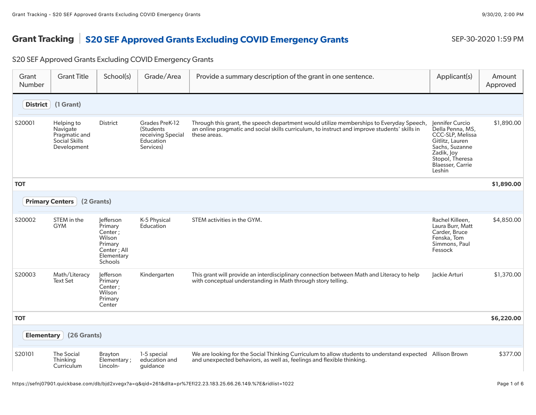## Grant Tracking S20 SEF Approved Grants Excluding COVID Emergency Grants SEP-30-2020 1:59 PM

## S20 SEF Approved Grants Excluding COVID Emergency Grants

| Grant<br>Number   | <b>Grant Title</b>                                                             | School(s)                                                                                    | Grade/Area                                                                 | Provide a summary description of the grant in one sentence.                                                                                                                                              | Applicant(s)                                                                                                                                                       | Amount<br>Approved |
|-------------------|--------------------------------------------------------------------------------|----------------------------------------------------------------------------------------------|----------------------------------------------------------------------------|----------------------------------------------------------------------------------------------------------------------------------------------------------------------------------------------------------|--------------------------------------------------------------------------------------------------------------------------------------------------------------------|--------------------|
| <b>District</b>   | (1 Grant)                                                                      |                                                                                              |                                                                            |                                                                                                                                                                                                          |                                                                                                                                                                    |                    |
| S20001            | Helping to<br>Navigate<br>Pragmatic and<br><b>Social Skills</b><br>Development | <b>District</b>                                                                              | Grades PreK-12<br>(Students<br>receiving Special<br>Education<br>Services) | Through this grant, the speech department would utilize memberships to Everyday Speech,<br>an online pragmatic and social skills curriculum, to instruct and improve students' skills in<br>these areas. | Jennifer Curcio<br>Della Penna, MS,<br>CCC-SLP, Melissa<br>Gitlitz, Lauren<br>Sachs, Suzanne<br>Zadik, Joy<br>Stopol, Theresa<br><b>Blaesser, Carrie</b><br>Leshin | \$1,890.00         |
| <b>TOT</b>        |                                                                                |                                                                                              |                                                                            |                                                                                                                                                                                                          |                                                                                                                                                                    | \$1,890.00         |
|                   | <b>Primary Centers</b>                                                         | (2 Grants)                                                                                   |                                                                            |                                                                                                                                                                                                          |                                                                                                                                                                    |                    |
| S20002            | STEM in the<br><b>GYM</b>                                                      | lefferson<br>Primary<br>Center;<br>Wilson<br>Primary<br>Center; All<br>Elementary<br>Schools | K-5 Physical<br>Education                                                  | STEM activities in the GYM.                                                                                                                                                                              | Rachel Killeen,<br>Laura Burr, Matt<br>Carder, Bruce<br>Fenska, Tom<br>Simmons, Paul<br>Fessock                                                                    | \$4,850.00         |
| S20003            | Math/Literacy<br><b>Text Set</b>                                               | lefferson<br>Primary<br>Center;<br>Wilson<br>Primary<br>Center                               | Kindergarten                                                               | This grant will provide an interdisciplinary connection between Math and Literacy to help<br>with conceptual understanding in Math through story telling.                                                | Jackie Arturi                                                                                                                                                      | \$1,370.00         |
| <b>TOT</b>        |                                                                                |                                                                                              |                                                                            |                                                                                                                                                                                                          |                                                                                                                                                                    | \$6,220.00         |
| <b>Elementary</b> | (26 Grants)                                                                    |                                                                                              |                                                                            |                                                                                                                                                                                                          |                                                                                                                                                                    |                    |
| S20101            | <b>The Social</b><br>Thinkina<br>Curriculum                                    | Brayton<br>Elementary;<br>Lincoln-                                                           | 1-5 special<br>education and<br>quidance                                   | We are looking for the Social Thinking Curriculum to allow students to understand expected Allison Brown<br>and unexpected behaviors, as well as, feelings and flexible thinking.                        |                                                                                                                                                                    | \$377.00           |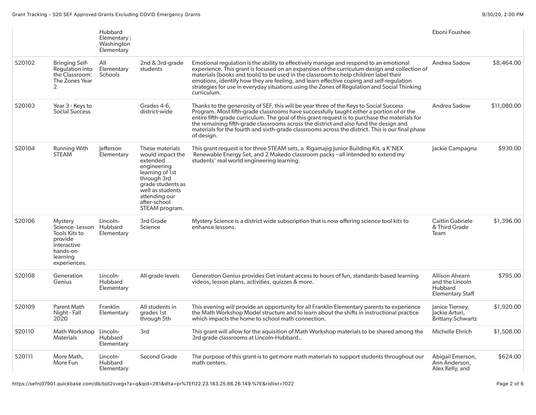|        |                                                                                                                     | Hubbard<br>Elementary;<br>Washington<br>Elementary |                                                                                                                                                                                              |                                                                                                                                                                                                                                                                                                                                                                                                                                                                                                 | Eboni Foushee                                                                  |             |
|--------|---------------------------------------------------------------------------------------------------------------------|----------------------------------------------------|----------------------------------------------------------------------------------------------------------------------------------------------------------------------------------------------|-------------------------------------------------------------------------------------------------------------------------------------------------------------------------------------------------------------------------------------------------------------------------------------------------------------------------------------------------------------------------------------------------------------------------------------------------------------------------------------------------|--------------------------------------------------------------------------------|-------------|
| S20102 | <b>Bringing Self-</b><br><b>Requlation into</b><br>the Classroom:<br>The Zones Year<br>2                            | All<br>Elementary<br>Schools                       | 2nd & 3rd-grade<br>students                                                                                                                                                                  | Emotional regulation is the ability to effectively manage and respond to an emotional<br>experience. This grant is focused on an expansion of the curriculum design and collection of<br>materials (books and tools) to be used in the classroom to help children label their<br>emotions, identify how they are feeling, and learn effective coping and self-regulation<br>strategies for use in everyday situations using the Zones of Regulation and Social Thinking<br>curriculum.          | Andrea Sadow                                                                   | \$8,464.00  |
| S20103 | Year 3 - Keys to<br><b>Social Success</b>                                                                           |                                                    | Grades 4-6,<br>district-wide                                                                                                                                                                 | Thanks to the generosity of SEF, this will be year three of the Keys to Social Success<br>Program. Most fifth-grade classrooms have successfully taught either a portion of or the<br>entire fifth-grade curriculum. The goal of this grant request is to purchase the materials for<br>the remaining fifth-grade classrooms across the district and also fund the design and<br>materials for the fourth and sixth-grade classrooms across the district. This is our final phase<br>of design. | Andrea Sadow                                                                   | \$11,080,00 |
| S20104 | <b>Running With</b><br><b>STEAM</b>                                                                                 | lefferson<br>Elementary                            | These materials<br>would impact the<br>extended<br>engineering<br>learning of 1st<br>through 3rd<br>grade students as<br>well as students<br>attending our<br>after-school<br>STEAM program. | This grant request is for three STEAM sets, a Rigamajig Junior Building Kit, a K'NEX<br>Renewable Energy Set, and 2 Makedo classroom packs --all intended to extend my<br>students' real world engineering learning.                                                                                                                                                                                                                                                                            | Jackie Campagna                                                                | \$930.00    |
| S20106 | Mystery<br>Science-Lesson<br><b>Tools Kits to</b><br>provide<br>interactive<br>hands-on<br>learning<br>experiences. | Lincoln-<br>Hubbard<br>Elementary                  | 3rd Grade<br>Science                                                                                                                                                                         | Mystery Science is a district wide subscription that is now offering science tool kits to<br>enhance lessons.                                                                                                                                                                                                                                                                                                                                                                                   | Caitlin Gabriele<br>& Third Grade<br>Team                                      | \$1,396.00  |
| S20108 | Generation<br>Genius                                                                                                | Lincoln-<br>Hubbard<br>Elementary                  | All grade levels                                                                                                                                                                             | Generation Genius provides Get instant access to hours of fun, standards-based learning<br>videos, lesson plans, activities, quizzes & more.                                                                                                                                                                                                                                                                                                                                                    | Allison Ahearn<br>and the Lincoln<br><b>Hubbard</b><br><b>Elementary Staff</b> | \$795.00    |
| S20109 | Parent Math<br>Night - Fall<br>2020                                                                                 | Franklin<br>Elementary                             | All students in<br>grades 1st<br>through 5th                                                                                                                                                 | This evening will provide an opportunity for all Franklin Elementary parents to experience<br>the Math Workshop Model structure and to learn about the shifts in instructional practice<br>which impacts the home to school math connection.                                                                                                                                                                                                                                                    | Janice Tierney,<br>Jackie Arturi,<br><b>Brittany Schwartz</b>                  | \$1,920.00  |
| S20110 | Math Workshop<br><b>Materials</b>                                                                                   | Lincoln-<br>Hubbard<br>Elementary                  | 3rd                                                                                                                                                                                          | This grant will allow for the aquisition of Math Workshop materials to be shared among the<br>3rd grade classrooms at Lincoln-Hubbard                                                                                                                                                                                                                                                                                                                                                           | Michelle Ehrich                                                                | \$1,508.00  |
| S20111 | More Math,<br>More Fun                                                                                              | Lincoln-<br>Hubbard<br>Elementary                  | Second Grade                                                                                                                                                                                 | The purpose of this grant is to get more math materials to support students throughout our<br>math centers.                                                                                                                                                                                                                                                                                                                                                                                     | Abigail Emerson,<br>Ann Anderson,<br>Alex Kelly, and                           | \$624.00    |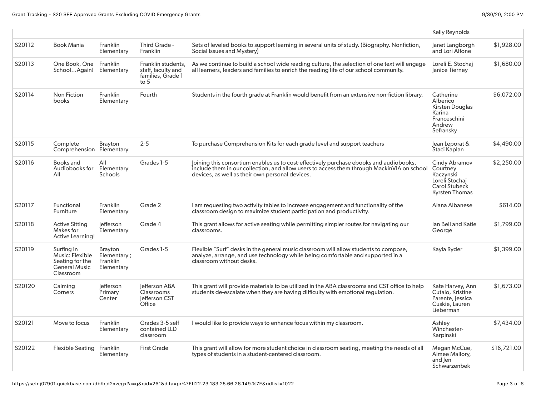|        |                                                                                |                                                   |                                                                         |                                                                                                                                                                                                                                                  | Kelly Reynolds                                                                            |             |
|--------|--------------------------------------------------------------------------------|---------------------------------------------------|-------------------------------------------------------------------------|--------------------------------------------------------------------------------------------------------------------------------------------------------------------------------------------------------------------------------------------------|-------------------------------------------------------------------------------------------|-------------|
| S20112 | <b>Book Mania</b>                                                              | Franklin<br>Elementary                            | Third Grade -<br>Franklin                                               | Sets of leveled books to support learning in several units of study. (Biography. Nonfiction,<br>Social Issues and Mystery)                                                                                                                       | Janet Langborgh<br>and Lori Alfone                                                        | \$1,928.00  |
| S20113 | One Book, One<br>SchoolAgain!                                                  | Franklin<br>Elementary                            | Franklin students,<br>staff, faculty and<br>families, Grade 1<br>to $5$ | As we continue to build a school wide reading culture, the selection of one text will engage<br>all learners, leaders and families to enrich the reading life of our school community.                                                           | Loreli E. Stochaj<br>Janice Tierney                                                       | \$1,680.00  |
| S20114 | Non Fiction<br>books                                                           | Franklin<br>Elementary                            | Fourth                                                                  | Students in the fourth grade at Franklin would benefit from an extensive non-fiction library.                                                                                                                                                    | Catherine<br>Alberico<br>Kirsten Douglas<br>Karina<br>Franceschini<br>Andrew<br>Sefransky | \$6,072.00  |
| S20115 | Complete<br>Comprehension Elementary                                           | <b>Brayton</b>                                    | $2 - 5$                                                                 | To purchase Comprehension Kits for each grade level and support teachers                                                                                                                                                                         | Jean Leporat &<br>Staci Kaplan                                                            | \$4,490.00  |
| S20116 | Books and<br>Audiobooks for<br>All                                             | All<br>Elementary<br>Schools                      | Grades 1-5                                                              | Joining this consortium enables us to cost-effectively purchase ebooks and audiobooks,<br>include them in our collection, and allow users to access them through MackinVIA on school Courtney<br>devices, as well as their own personal devices. | Cindy Abramov<br>Kaczynski<br>Loreli Stochaj<br>Carol Stubeck<br><b>Kyrsten Thomas</b>    | \$2,250.00  |
| S20117 | Functional<br>Furniture                                                        | Franklin<br>Elementary                            | Grade 2                                                                 | I am requesting two activity tables to increase engagement and functionality of the<br>classroom design to maximize student participation and productivity.                                                                                      | Alana Albanese                                                                            | \$614.00    |
| S20118 | <b>Active Sitting</b><br>Makes for<br><b>Active Learning!</b>                  | lefferson<br>Elementary                           | Grade 4                                                                 | This grant allows for active seating while permitting simpler routes for navigating our<br>classrooms.                                                                                                                                           | lan Bell and Katie<br>George                                                              | \$1,799.00  |
| S20119 | Surfing in<br>Music: Flexible<br>Seating for the<br>General Music<br>Classroom | Brayton<br>Elementary ;<br>Franklin<br>Elementary | Grades 1-5                                                              | Flexible "Surf" desks in the general music classroom will allow students to compose,<br>analyze, arrange, and use technology while being comfortable and supported in a<br>classroom without desks.                                              | Kayla Ryder                                                                               | \$1,399.00  |
| S20120 | Calming<br>Corners                                                             | lefferson<br>Primary<br>Center                    | lefferson ABA<br>Classrooms<br>Jefferson CST<br>Office                  | This grant will provide materials to be utilized in the ABA classrooms and CST office to help<br>students de-escalate when they are having difficulty with emotional regulation.                                                                 | Kate Harvey, Ann<br>Cutalo, Kristine<br>Parente, Jessica<br>Cuskie, Lauren<br>Lieberman   | \$1,673.00  |
| S20121 | Move to focus                                                                  | Franklin<br>Elementary                            | Grades 3-5 self<br>contained LLD<br>classroom                           | I would like to provide ways to enhance focus within my classroom.                                                                                                                                                                               | Ashley<br>Winchester-<br>Karpinski                                                        | \$7,434.00  |
| S20122 | <b>Flexible Seating</b>                                                        | Franklin<br>Elementary                            | <b>First Grade</b>                                                      | This grant will allow for more student choice in classroom seating, meeting the needs of all<br>types of students in a student-centered classroom.                                                                                               | Megan McCue,<br>Aimee Mallory,<br>and len<br>Schwarzenbek                                 | \$16,721.00 |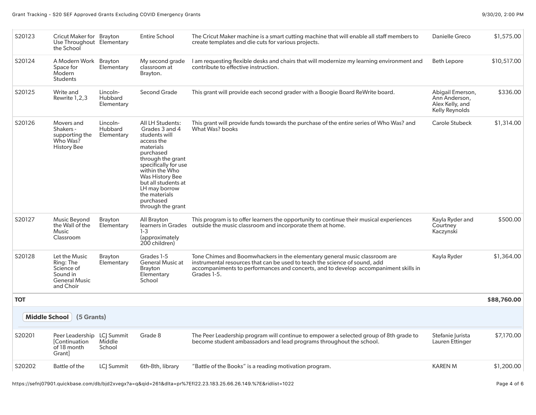| S20123               | Cricut Maker for Brayton<br>Use Throughout Elementary<br>the School                       |                                   | <b>Entire School</b>                                                                                                                                                                                                                                                            | The Cricut Maker machine is a smart cutting machine that will enable all staff members to<br>create templates and die cuts for various projects.                                                                                                               | Danielle Greco                                                         | \$1,575.00  |
|----------------------|-------------------------------------------------------------------------------------------|-----------------------------------|---------------------------------------------------------------------------------------------------------------------------------------------------------------------------------------------------------------------------------------------------------------------------------|----------------------------------------------------------------------------------------------------------------------------------------------------------------------------------------------------------------------------------------------------------------|------------------------------------------------------------------------|-------------|
| S20124               | A Modern Work Brayton<br>Space for<br>Modern<br><b>Students</b>                           | Elementary                        | My second grade<br>classroom at<br>Brayton.                                                                                                                                                                                                                                     | I am requesting flexible desks and chairs that will modernize my learning environment and<br>contribute to effective instruction.                                                                                                                              | <b>Beth Lepore</b>                                                     | \$10,517.00 |
| S20125               | Write and<br>Rewrite 1,2,3                                                                | Lincoln-<br>Hubbard<br>Elementary | Second Grade                                                                                                                                                                                                                                                                    | This grant will provide each second grader with a Boogie Board ReWrite board.                                                                                                                                                                                  | Abigail Emerson,<br>Ann Anderson,<br>Alex Kelly, and<br>Kelly Reynolds | \$336.00    |
| S20126               | Movers and<br>Shakers -<br>supporting the<br>Who Was?<br><b>History Bee</b>               | Lincoln-<br>Hubbard<br>Elementary | <b>All LH Students:</b><br>Grades 3 and 4<br>students will<br>access the<br>materials<br>purchased<br>through the grant<br>specifically for use<br>within the Who<br>Was History Bee<br>but all students at<br>LH may borrow<br>the materials<br>purchased<br>through the grant | This grant will provide funds towards the purchase of the entire series of Who Was? and<br>What Was? books                                                                                                                                                     | Carole Stubeck                                                         | \$1,314.00  |
| S20127               | Music Beyond<br>the Wall of the<br><b>Music</b><br>Classroom                              | Brayton<br>Elementary             | All Brayton<br>learners in Grades<br>$1-3$<br>(approximately<br>200 children)                                                                                                                                                                                                   | This program is to offer learners the opportunity to continue their musical experiences<br>outside the music classroom and incorporate them at home.                                                                                                           | Kayla Ryder and<br>Courtney<br>Kaczynski                               | \$500.00    |
| S20128               | Let the Music<br>Ring: The<br>Science of<br>Sound in<br><b>General Music</b><br>and Choir | Brayton<br>Elementary             | Grades 1-5<br><b>General Music at</b><br>Brayton<br>Elementary<br>School                                                                                                                                                                                                        | Tone Chimes and Boomwhackers in the elementary general music classroom are<br>instrumental resources that can be used to teach the science of sound, add<br>accompaniments to performances and concerts, and to develop accompaniment skills in<br>Grades 1-5. | Kayla Ryder                                                            | \$1,364.00  |
| <b>TOT</b>           |                                                                                           |                                   |                                                                                                                                                                                                                                                                                 |                                                                                                                                                                                                                                                                |                                                                        | \$88,760.00 |
| <b>Middle School</b> | (5 Grants)                                                                                |                                   |                                                                                                                                                                                                                                                                                 |                                                                                                                                                                                                                                                                |                                                                        |             |
| S20201               | Peer Leadership<br><b>Continuation</b><br>of 18 month<br>Grant]                           | LCJ Summit<br>Middle<br>School    | Grade 8                                                                                                                                                                                                                                                                         | The Peer Leadership program will continue to empower a selected group of 8th grade to<br>become student ambassadors and lead programs throughout the school.                                                                                                   | Stefanie Jurista<br>Lauren Ettinger                                    | \$7,170.00  |
| S20202               | Battle of the                                                                             | LC  Summit                        | 6th-8th, library                                                                                                                                                                                                                                                                | "Battle of the Books" is a reading motivation program.                                                                                                                                                                                                         | <b>KAREN M</b>                                                         | \$1,200.00  |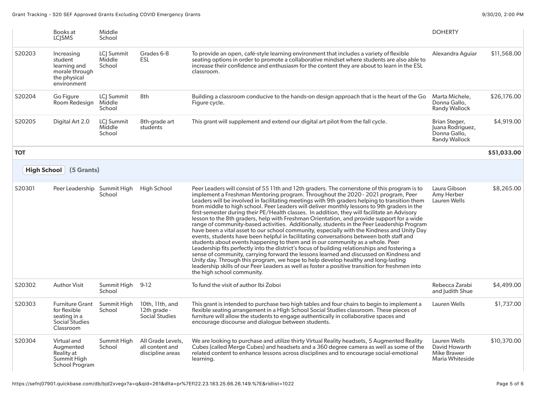|            | Books at<br><b>LCISMS</b>                                                              | Middle<br>School               |                                                          |                                                                                                                                                                                                                                                                                                                                                                                                                                                                                                                                                                                                                                                                                                                                                                                                                                                                                                                                                                                                                                                                                                                                                                                                                                                                                                                                                                         | <b>DOHERTY</b>                                                            |             |
|------------|----------------------------------------------------------------------------------------|--------------------------------|----------------------------------------------------------|-------------------------------------------------------------------------------------------------------------------------------------------------------------------------------------------------------------------------------------------------------------------------------------------------------------------------------------------------------------------------------------------------------------------------------------------------------------------------------------------------------------------------------------------------------------------------------------------------------------------------------------------------------------------------------------------------------------------------------------------------------------------------------------------------------------------------------------------------------------------------------------------------------------------------------------------------------------------------------------------------------------------------------------------------------------------------------------------------------------------------------------------------------------------------------------------------------------------------------------------------------------------------------------------------------------------------------------------------------------------------|---------------------------------------------------------------------------|-------------|
| S20203     | Increasing<br>student<br>learning and<br>morale through<br>the physical<br>environment | LCJ Summit<br>Middle<br>School | Grades 6-8<br><b>ESL</b>                                 | To provide an open, café-style learning environment that includes a variety of flexible<br>seating options in order to promote a collaborative mindset where students are also able to<br>increase their confidence and enthusiasm for the content they are about to learn in the ESL<br>classroom.                                                                                                                                                                                                                                                                                                                                                                                                                                                                                                                                                                                                                                                                                                                                                                                                                                                                                                                                                                                                                                                                     | Alexandra Aquiar                                                          | \$11,568.00 |
| S20204     | Go Figure<br>Room Redesian                                                             | LCJ Summit<br>Middle<br>School | 8th                                                      | Building a classroom conducive to the hands-on design approach that is the heart of the Go<br>Figure cycle.                                                                                                                                                                                                                                                                                                                                                                                                                                                                                                                                                                                                                                                                                                                                                                                                                                                                                                                                                                                                                                                                                                                                                                                                                                                             | Marta Michele,<br>Donna Gallo,<br>Randy Wallock                           | \$26,176.00 |
| S20205     | Digital Art 2.0                                                                        | LCJ Summit<br>Middle<br>School | 8th-grade art<br>students                                | This grant will supplement and extend our digital art pilot from the fall cycle.                                                                                                                                                                                                                                                                                                                                                                                                                                                                                                                                                                                                                                                                                                                                                                                                                                                                                                                                                                                                                                                                                                                                                                                                                                                                                        | Brian Steger,<br>Juana Rodriguez,<br>Donna Gallo,<br><b>Randy Wallock</b> | \$4,919.00  |
| <b>TOT</b> |                                                                                        |                                |                                                          |                                                                                                                                                                                                                                                                                                                                                                                                                                                                                                                                                                                                                                                                                                                                                                                                                                                                                                                                                                                                                                                                                                                                                                                                                                                                                                                                                                         |                                                                           | \$51,033.00 |
|            | High School   (5 Grants)                                                               |                                |                                                          |                                                                                                                                                                                                                                                                                                                                                                                                                                                                                                                                                                                                                                                                                                                                                                                                                                                                                                                                                                                                                                                                                                                                                                                                                                                                                                                                                                         |                                                                           |             |
| S20301     | Peer Leadership                                                                        | Summit High<br>School          | <b>High School</b>                                       | Peer Leaders will consist of 55 11th and 12th graders. The cornerstone of this program is to<br>implement a Freshman Mentoring program. Throughout the 2020 - 2021 program, Peer<br>Leaders will be involved in facilitating meetings with 9th graders helping to transition them<br>from middle to high school. Peer Leaders will deliver monthly lessons to 9th graders in the<br>first-semester during their PE/Health classes. In addition, they will facilitate an Advisory<br>lesson to the 8th graders, help with Freshman Orientation, and provide support for a wide<br>range of community-based activities. Additionally, students in the Peer Leadership Program<br>have been a vital asset to our school community, especially with the Kindness and Unity Day<br>events, students have been helpful in facilitating conversations between both staff and<br>students about events happening to them and in our community as a whole. Peer<br>Leadership fits perfectly into the district's focus of building relationships and fostering a<br>sense of community, carrying forward the lessons learned and discussed on Kindness and<br>Unity day. Through this program, we hope to help develop healthy and long-lasting<br>leadership skills of our Peer Leaders as well as foster a positive transition for freshmen into<br>the high school community. | Laura Gibson<br>Amy Herber<br>Lauren Wells                                | \$8,265.00  |
| S20302     | <b>Author Visit</b>                                                                    | Summit High<br>School          | $9-12$                                                   | To fund the visit of author Ibi Zoboi                                                                                                                                                                                                                                                                                                                                                                                                                                                                                                                                                                                                                                                                                                                                                                                                                                                                                                                                                                                                                                                                                                                                                                                                                                                                                                                                   | Rebecca Zarabi<br>and Judith Shue                                         | \$4,499.00  |
| S20303     | <b>Furniture Grant</b><br>for flexible<br>seating in a<br>Social Studies<br>Classroom  | Summit High<br>School          | 10th, 11th, and<br>12th grade -<br><b>Social Studies</b> | This grant is intended to purchase two high tables and four chairs to begin to implement a<br>flexible seating arrangement in a HIgh School Social Studies classroom. These pieces of<br>furniture will allow the students to engage authentically in collaborative spaces and<br>encourage discourse and dialogue between students.                                                                                                                                                                                                                                                                                                                                                                                                                                                                                                                                                                                                                                                                                                                                                                                                                                                                                                                                                                                                                                    | Lauren Wells                                                              | \$1,737.00  |
| S20304     | Virtual and<br>Augmented<br>Reality at<br>Summit High<br>School Program                | Summit High<br>School          | All Grade Levels,<br>all content and<br>discipline areas | We are looking to purchase and utilize thirty Virtual Reality headsets, 5 Augmented Reality<br>Cubes (called Merge Cubes) and headsets and a 360 degree camera as well as some of the<br>related content to enhance lessons across disciplines and to encourage social-emotional<br>learning.                                                                                                                                                                                                                                                                                                                                                                                                                                                                                                                                                                                                                                                                                                                                                                                                                                                                                                                                                                                                                                                                           | Lauren Wells<br>David Howarth<br><b>Mike Brawer</b><br>Maria Whiteside    | \$10,370.00 |